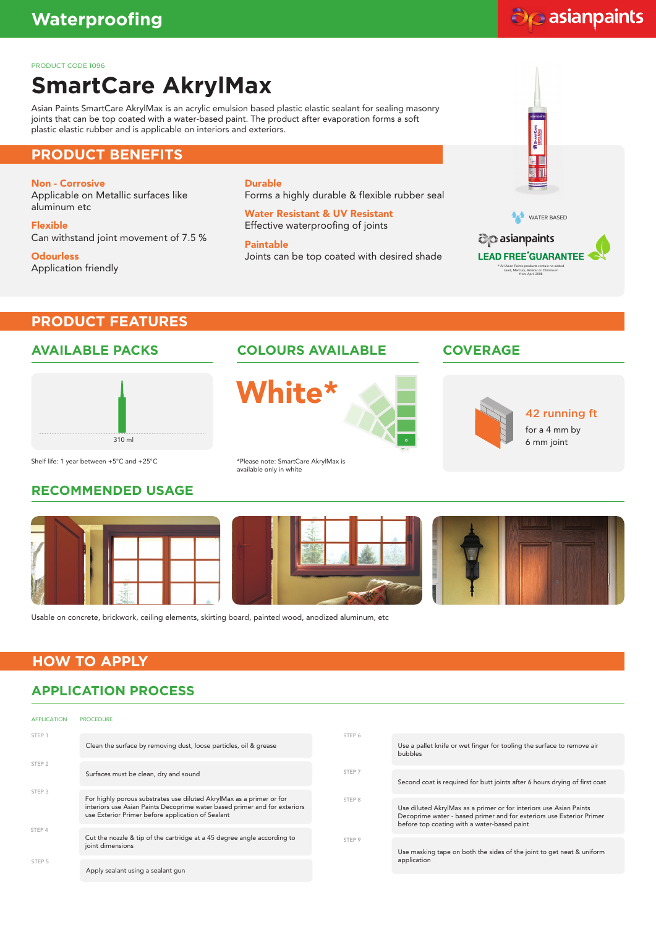# do asianpaints

PRODUCT CODE 1096

# **SmartCare AkrylMax**

Asian Paints SmartCare AkrylMax is an acrylic emulsion based plastic elastic sealant for sealing masonry joints that can be top coated with a water-based paint. The product after evaporation forms a soft plastic elastic rubber and is applicable on interiors and exteriors.

#### **PRODUCT BENEFITS**

#### Non - Corrosive

Applicable on Metallic surfaces like aluminum etc

Flexible Can withstand joint movement of 7.5 %

**Odourless** Application friendly Durable Forms a highly durable & flexible rubber seal

Water Resistant & UV Resistant Effective waterproofing of joints

Paintable Joints can be top coated with desired shade



## **PRODUCT FEATURES**

#### **AVAILABLE PACKS**



#### **COLOURS AVAILABLE COVERAGE**





42 running ft

for a 4 mm by 6 mm joint

Shelf life: 1 year between +5°C and +25°C

## **RECOMMENDED USAGE**

\*Please note: SmartCare AkrylMax is available only in white



Usable on concrete, brickwork, ceiling elements, skirting board, painted wood, anodized aluminum, etc

## **HOW TO APPLY**

## **APPLICATION PROCESS**

| <b>APPLICATION</b>                     | <b>PROCEDURE</b>                                                                                                                                                                                       |        |                                                                                                                                                                                           |
|----------------------------------------|--------------------------------------------------------------------------------------------------------------------------------------------------------------------------------------------------------|--------|-------------------------------------------------------------------------------------------------------------------------------------------------------------------------------------------|
| STEP 1                                 | Clean the surface by removing dust, loose particles, oil & grease                                                                                                                                      | STEP 6 | Use a pallet knife or wet finger for tooling the surface to remove air<br>bubbles                                                                                                         |
| STEP <sub>2</sub><br>STEP <sub>3</sub> | Surfaces must be clean, dry and sound                                                                                                                                                                  | STEP 7 | Second coat is required for butt joints after 6 hours drying of first coat                                                                                                                |
|                                        | For highly porous substrates use diluted AkrylMax as a primer or for<br>interiors use Asian Paints Decoprime water based primer and for exteriors<br>use Exterior Primer before application of Sealant | STEP 8 | Use diluted AkrylMax as a primer or for interiors use Asian Paints<br>Decoprime water - based primer and for exteriors use Exterior Primer<br>before top coating with a water-based paint |
| STEP 4<br>STEP 5                       | Cut the nozzle & tip of the cartridge at a 45 degree angle according to<br>joint dimensions                                                                                                            | STEP 9 | Use masking tape on both the sides of the joint to get neat & uniform<br>application                                                                                                      |
|                                        | Apply sealant using a sealant gun                                                                                                                                                                      |        |                                                                                                                                                                                           |